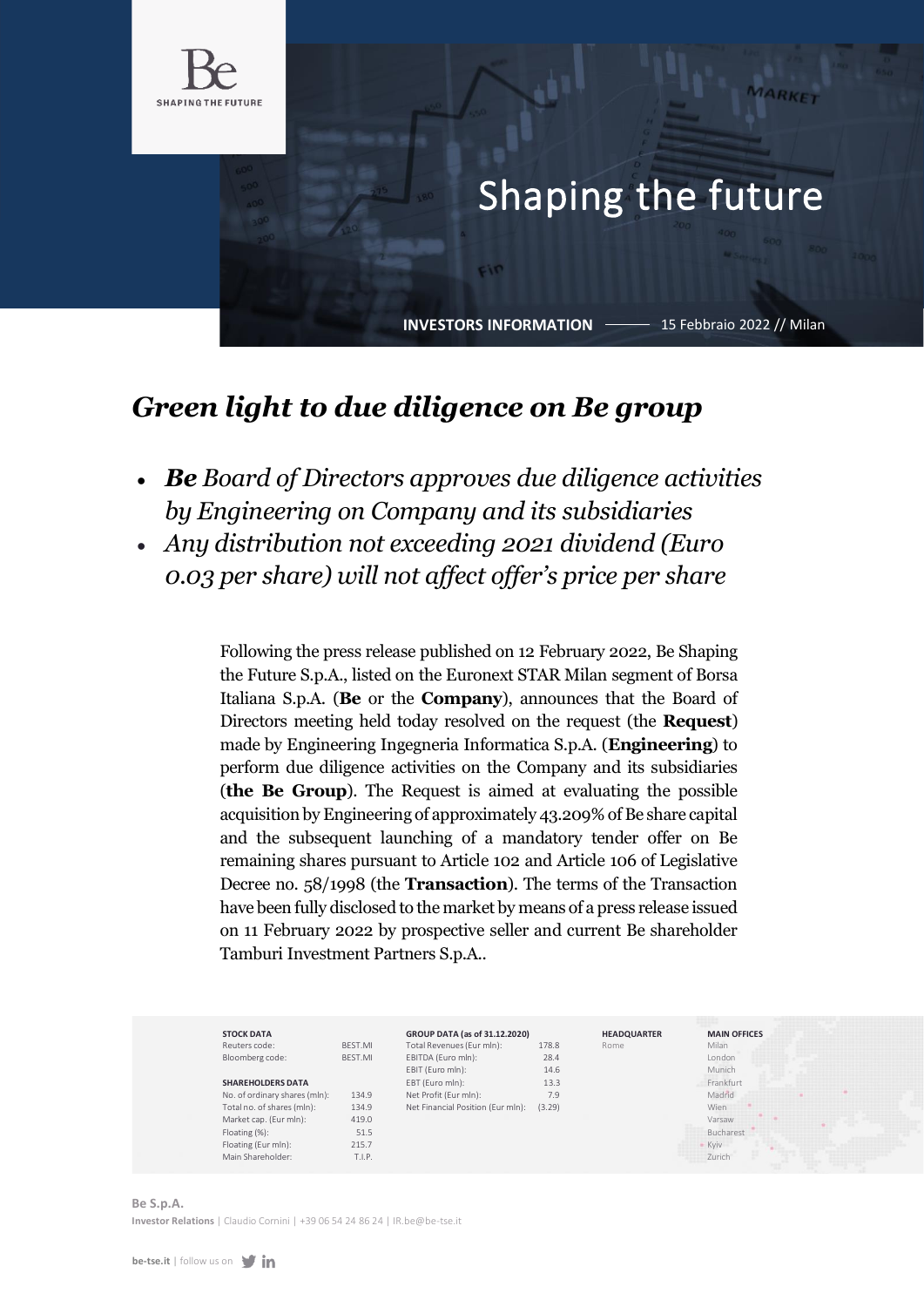

## Shaping the future

**INVESTORS INFORMATION**

FIN

15 Febbraio 2022 // Milan

MARKET

## *Green light to due diligence on Be group*

- *Be Board of Directors approves due diligence activities by Engineering on Company and its subsidiaries*
- *Any distribution not exceeding 2021 dividend (Euro 0.03 per share) will not affect offer's price per share*

Following the press release published on 12 February 2022, Be Shaping the Future S.p.A., listed on the Euronext STAR Milan segment of Borsa Italiana S.p.A. (**Be** or the **Company**), announces that the Board of Directors meeting held today resolved on the request (the **Request**) made by Engineering Ingegneria Informatica S.p.A. (**Engineering**) to perform due diligence activities on the Company and its subsidiaries (**the Be Group**). The Request is aimed at evaluating the possible acquisition by Engineering of approximately 43.209% of Be share capital and the subsequent launching of a mandatory tender offer on Be remaining shares pursuant to Article 102 and Article 106 of Legislative Decree no. 58/1998 (the **Transaction**). The terms of the Transaction have been fully disclosed to the market by means of a press release issued on 11 February 2022 by prospective seller and current Be shareholder Tamburi Investment Partners S.p.A..



## **Be S.p.A. Investor Relations** | Claudio Cornini [| +39 06 54 24 86 24 | IR.be@be-tse.it](mailto:IR.be@be-tse.it)